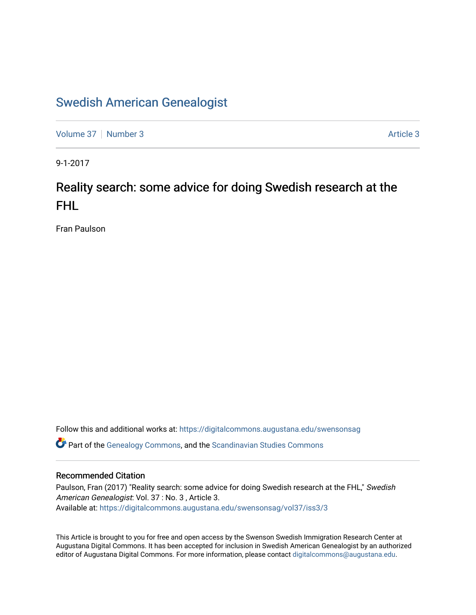## [Swedish American Genealogist](https://digitalcommons.augustana.edu/swensonsag)

[Volume 37](https://digitalcommons.augustana.edu/swensonsag/vol37) | [Number 3](https://digitalcommons.augustana.edu/swensonsag/vol37/iss3) [Article 3](https://digitalcommons.augustana.edu/swensonsag/vol37/iss3/3) Article 3 Article 3 Article 3 Article 3 Article 3 Article 3 Article 3 Article 3

9-1-2017

# Reality search: some advice for doing Swedish research at the FHL

Fran Paulson

Follow this and additional works at: [https://digitalcommons.augustana.edu/swensonsag](https://digitalcommons.augustana.edu/swensonsag?utm_source=digitalcommons.augustana.edu%2Fswensonsag%2Fvol37%2Fiss3%2F3&utm_medium=PDF&utm_campaign=PDFCoverPages) 

Part of the [Genealogy Commons,](http://network.bepress.com/hgg/discipline/1342?utm_source=digitalcommons.augustana.edu%2Fswensonsag%2Fvol37%2Fiss3%2F3&utm_medium=PDF&utm_campaign=PDFCoverPages) and the [Scandinavian Studies Commons](http://network.bepress.com/hgg/discipline/485?utm_source=digitalcommons.augustana.edu%2Fswensonsag%2Fvol37%2Fiss3%2F3&utm_medium=PDF&utm_campaign=PDFCoverPages)

### Recommended Citation

Paulson, Fran (2017) "Reality search: some advice for doing Swedish research at the FHL," Swedish American Genealogist: Vol. 37 : No. 3 , Article 3. Available at: [https://digitalcommons.augustana.edu/swensonsag/vol37/iss3/3](https://digitalcommons.augustana.edu/swensonsag/vol37/iss3/3?utm_source=digitalcommons.augustana.edu%2Fswensonsag%2Fvol37%2Fiss3%2F3&utm_medium=PDF&utm_campaign=PDFCoverPages) 

This Article is brought to you for free and open access by the Swenson Swedish Immigration Research Center at Augustana Digital Commons. It has been accepted for inclusion in Swedish American Genealogist by an authorized editor of Augustana Digital Commons. For more information, please contact [digitalcommons@augustana.edu.](mailto:digitalcommons@augustana.edu)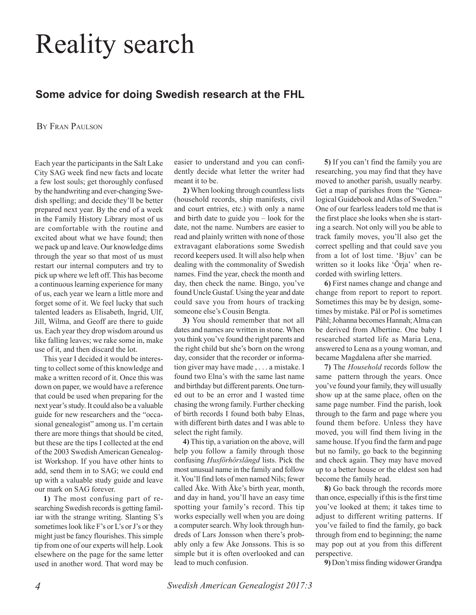# Reality search

## **Some advice for doing Swedish research at the FHL**

#### BY FRAN PAULSON

Each year the participants in the Salt Lake City SAG week find new facts and locate a few lost souls; get thoroughly confused by the handwriting and ever-changing Swedish spelling; and decide they'll be better prepared next year. By the end of a week in the Family History Library most of us are comfortable with the routine and excited about what we have found; then we pack up and leave. Our knowledge dims through the year so that most of us must restart our internal computers and try to pick up where we left off. This has become a continuous learning experience for many of us, each year we learn a little more and forget some of it. We feel lucky that such talented leaders as Elisabeth, Ingrid, Ulf, Jill, Wilma, and Geoff are there to guide us. Each year they drop wisdom around us like falling leaves; we rake some in, make use of it, and then discard the lot.

This year I decided it would be interesting to collect some of this knowledge and make a written record of it. Once this was down on paper, we would have a reference that could be used when preparing for the next year's study. It could also be a valuable guide for new researchers and the "occasional genealogist" among us. I'm certain there are more things that should be cited, but these are the tips I collected at the end of the 2003 Swedish American Genealogist Workshop. If you have other hints to add, send them in to SAG; we could end up with a valuable study guide and leave our mark on SAG forever.

**1)** The most confusing part of researching Swedish records is getting familiar with the strange writing. Slanting S's sometimes look like F's or L's or J's or they might just be fancy flourishes. This simple tip from one of our experts will help. Look elsewhere on the page for the same letter used in another word. That word may be easier to understand and you can confidently decide what letter the writer had meant it to be.

**2)** When looking through countless lists (household records, ship manifests, civil and court entries, etc.) with only a name and birth date to guide you – look for the date, not the name. Numbers are easier to read and plainly written with none of those extravagant elaborations some Swedish record keepers used. It will also help when dealing with the commonality of Swedish names. Find the year, check the month and day, then check the name. Bingo, you've found Uncle Gustaf. Using the year and date could save you from hours of tracking someone else's Cousin Bengta.

**3)** You should remember that not all dates and names are written in stone. When you think you've found the right parents and the right child but she's born on the wrong day, consider that the recorder or information giver may have made , . . . a mistake. I found two Elna's with the same last name and birthday but different parents. One turned out to be an error and I wasted time chasing the wrong family. Further checking of birth records I found both baby Elnas, with different birth dates and I was able to select the right family.

**4)** This tip, a variation on the above, will help you follow a family through those confusing *Husförhörslängd* lists. Pick the most unusual name in the family and follow it. You'll find lots of men named Nils; fewer called Åke. With Åke's birth year, month, and day in hand, you'll have an easy time spotting your family's record. This tip works especially well when you are doing a computer search. Why look through hundreds of Lars Jonsson when there's probably only a few Åke Jonssons. This is so simple but it is often overlooked and can lead to much confusion.

**5)** If you can't find the family you are researching, you may find that they have moved to another parish, usually nearby. Get a map of parishes from the "Genealogical Guidebook and Atlas of Sweden." One of our fearless leaders told me that is the first place she looks when she is starting a search. Not only will you be able to track family moves, you'll also get the correct spelling and that could save you from a lot of lost time. 'Bjuv' can be written so it looks like 'Örja' when recorded with swirling letters.

**6)** First names change and change and change from report to report to report. Sometimes this may be by design, sometimes by mistake. Pål or Pol is sometimes Påhl; Johanna becomes Hannah; Alma can be derived from Albertine. One baby I researched started life as Maria Lena, answered to Lena as a young woman, and became Magdalena after she married.

**7)** The *Household* records follow the same pattern through the years. Once you've found your family, they will usually show up at the same place, often on the same page number. Find the parish, look through to the farm and page where you found them before. Unless they have moved, you will find them living in the same house. If you find the farm and page but no family, go back to the beginning and check again. They may have moved up to a better house or the eldest son had become the family head.

**8)** Go back through the records more than once, especially if this is the first time you've looked at them; it takes time to adjust to different writing patterns. If you've failed to find the family, go back through from end to beginning; the name may pop out at you from this different perspective.

**9)** Don't miss finding widower Grandpa